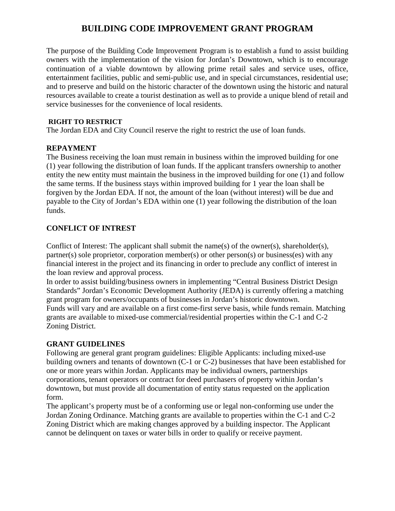## **BUILDING CODE IMPROVEMENT GRANT PROGRAM**

The purpose of the Building Code Improvement Program is to establish a fund to assist building owners with the implementation of the vision for Jordan's Downtown, which is to encourage continuation of a viable downtown by allowing prime retail sales and service uses, office, entertainment facilities, public and semi-public use, and in special circumstances, residential use; and to preserve and build on the historic character of the downtown using the historic and natural resources available to create a tourist destination as well as to provide a unique blend of retail and service businesses for the convenience of local residents.

#### **RIGHT TO RESTRICT**

The Jordan EDA and City Council reserve the right to restrict the use of loan funds.

#### **REPAYMENT**

The Business receiving the loan must remain in business within the improved building for one (1) year following the distribution of loan funds. If the applicant transfers ownership to another entity the new entity must maintain the business in the improved building for one (1) and follow the same terms. If the business stays within improved building for 1 year the loan shall be forgiven by the Jordan EDA. If not, the amount of the loan (without interest) will be due and payable to the City of Jordan's EDA within one (1) year following the distribution of the loan funds.

### **CONFLICT OF INTREST**

Conflict of Interest: The applicant shall submit the name(s) of the owner(s), shareholder(s), partner(s) sole proprietor, corporation member(s) or other person(s) or business(es) with any financial interest in the project and its financing in order to preclude any conflict of interest in the loan review and approval process.

In order to assist building/business owners in implementing "Central Business District Design Standards" Jordan's Economic Development Authority (JEDA) is currently offering a matching grant program for owners/occupants of businesses in Jordan's historic downtown. Funds will vary and are available on a first come-first serve basis, while funds remain. Matching grants are available to mixed-use commercial/residential properties within the C-1 and C-2 Zoning District.

### **GRANT GUIDELINES**

Following are general grant program guidelines: Eligible Applicants: including mixed-use building owners and tenants of downtown (C-1 or C-2) businesses that have been established for one or more years within Jordan. Applicants may be individual owners, partnerships corporations, tenant operators or contract for deed purchasers of property within Jordan's downtown, but must provide all documentation of entity status requested on the application form.

The applicant's property must be of a conforming use or legal non-conforming use under the Jordan Zoning Ordinance. Matching grants are available to properties within the C-1 and C-2 Zoning District which are making changes approved by a building inspector. The Applicant cannot be delinquent on taxes or water bills in order to qualify or receive payment.